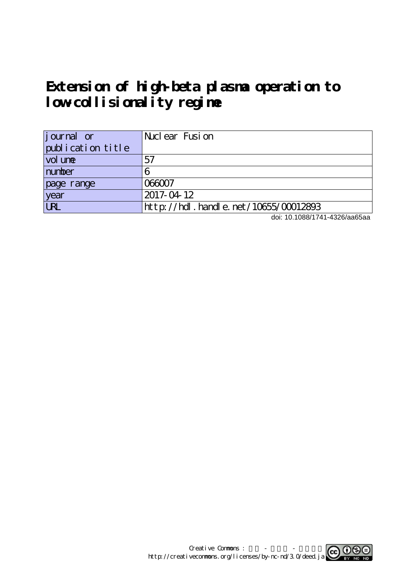# **Extension of high-beta plasma operation to low-collisionality regime**

| journal or        | Nuclear Fusion                            |
|-------------------|-------------------------------------------|
| publication title |                                           |
| vol une           | 57                                        |
| number            |                                           |
| page range        | <u> 266007</u>                            |
| year              | 2017-04-12                                |
| UN                | $http$ ://hdl. handle. net/10655/00012893 |

doi: 10.1088/1741-4326/aa65aa

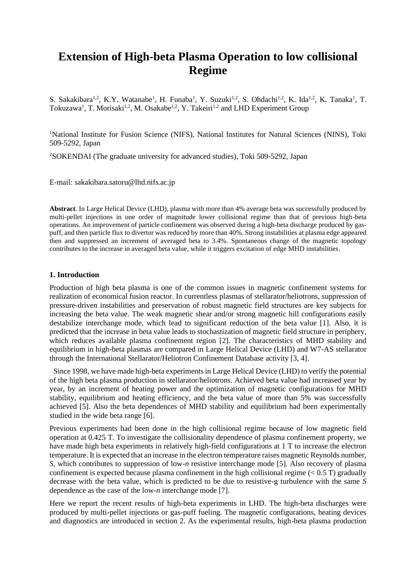# **Extension of High-beta Plasma Operation to low collisional Regime**

S. Sakakibara<sup>1,2</sup>, K.Y. Watanabe<sup>1</sup>, H. Funaba<sup>1</sup>, Y. Suzuki<sup>1,2</sup>, S. Ohdachi<sup>1,2</sup>, K. Ida<sup>1,2</sup>, K. Tanaka<sup>1</sup>, T. Tokuzawa<sup>1</sup>, T. Morisaki<sup>1,2</sup>, M. Osakabe<sup>1,2</sup>, Y. Takeiri<sup>1,2</sup> and LHD Experiment Group

<sup>1</sup>National Institute for Fusion Science (NIFS), National Institutes for Natural Sciences (NINS), Toki 509-5292, Japan

<sup>2</sup>SOKENDAI (The graduate university for advanced studies), Toki 509-5292, Japan

E-mail: sakakibara.satoru@lhd.nifs.ac.jp

**Abstract**. In Large Helical Device (LHD), plasma with more than 4% average beta was successfully produced by multi-pellet injections in one order of magnitude lower collisional regime than that of previous high-beta operations. An improvement of particle confinement was observed during a high-beta discharge produced by gaspuff, and then particle flux to divertor was reduced by more than 40%. Strong instabilities at plasma edge appeared then and suppressed an increment of averaged beta to 3.4%. Spontaneous change of the magnetic topology contributes to the increase in averaged beta value, while it triggers excitation of edge MHD instabilities.

#### **1. Introduction**

Production of high beta plasma is one of the common issues in magnetic confinement systems for realization of economical fusion reactor. In currentless plasmas of stellarator/heliotrons, suppression of pressure-driven instabilities and preservation of robust magnetic field structures are key subjects for increasing the beta value. The weak magnetic shear and/or strong magnetic hill configurations easily destabilize interchange mode, which lead to significant reduction of the beta value [1]. Also, it is predicted that the increase in beta value leads to stochastization of magnetic field structure in periphery, which reduces available plasma confinement region [2]. The characteristics of MHD stability and equilibrium in high-beta plasmas are compared in Large Helical Device (LHD) and W7-AS stellarator through the International Stellarator/Heliotron Confinement Database activity [3, 4].

Since 1998, we have made high-beta experiments in Large Helical Device (LHD) to verify the potential of the high beta plasma production in stellarator/heliotrons. Achieved beta value had increased year by year, by an increment of heating power and the optimization of magnetic configurations for MHD stability, equilibrium and heating efficiency, and the beta value of more than 5% was successfully achieved [5]. Also the beta dependences of MHD stability and equilibrium had been experimentally studied in the wide beta range [6].

Previous experiments had been done in the high collisional regime because of low magnetic field operation at 0.425 T. To investigate the collisionality dependence of plasma confinement property, we have made high beta experiments in relatively high-field configurations at 1 T to increase the electron temperature. It is expected that an increase in the electron temperature raises magnetic Reynolds number, *S*, which contributes to suppression of low-*n* resistive interchange mode [5]. Also recovery of plasma confinement is expected because plasma confinement in the high collisional regime  $(< 0.5$  T) gradually decrease with the beta value, which is predicted to be due to resistive-g turbulence with the same *S* dependence as the case of the low-*n* interchange mode [7].

Here we report the recent results of high-beta experiments in LHD. The high-beta discharges were produced by multi-pellet injections or gas-puff fueling. The magnetic configurations, heating devices and diagnostics are introduced in section 2. As the experimental results, high-beta plasma production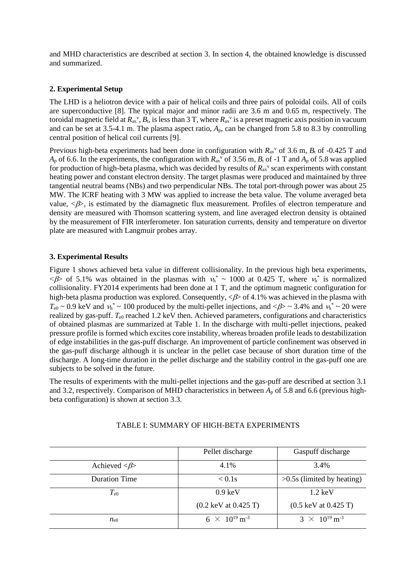and MHD characteristics are described at section 3. In section 4, the obtained knowledge is discussed and summarized.

# **2. Experimental Setup**

The LHD is a heliotron device with a pair of helical coils and three pairs of poloidal coils. All of coils are superconductive [8]. The typical major and minor radii are 3.6 m and 0.65 m, respectively. The toroidal magnetic field at  $R_{ax}^v$ ,  $B_t$ , is less than 3 T, where  $R_{ax}^v$  is a preset magnetic axis position in vacuum and can be set at 3.5-4.1 m. The plasma aspect ratio, *A*p, can be changed from 5.8 to 8.3 by controlling central position of helical coil currents [9].

Previous high-beta experiments had been done in configuration with  $R_{ax}$ <sup>v</sup> of 3.6 m,  $B_t$  of -0.425 T and  $A_p$  of 6.6. In the experiments, the configuration with  $R_{ax}$ <sup>v</sup> of 3.56 m,  $B_t$  of -1 T and  $A_p$  of 5.8 was applied for production of high-beta plasma, which was decided by results of  $R_{ax}$ <sup>v</sup> scan experiments with constant heating power and constant electron density. The target plasmas were produced and maintained by three tangential neutral beams (NBs) and two perpendicular NBs. The total port-through power was about 25 MW. The ICRF heating with 3 MW was applied to increase the beta value. The volume averaged beta value,  $\langle B \rangle$ , is estimated by the diamagnetic flux measurement. Profiles of electron temperature and density are measured with Thomson scattering system, and line averaged electron density is obtained by the measurement of FIR interferometer. Ion saturation currents, density and temperature on divertor plate are measured with Langmuir probes array.

## **3. Experimental Results**

Figure 1 shows achieved beta value in different collisionality. In the previous high beta experiments,  $\langle \beta \rangle$  of 5.1% was obtained in the plasmas with  $v_h^* \sim 1000$  at 0.425 T, where  $v_h^*$  is normalized collisionality. FY2014 experiments had been done at 1 T, and the optimum magnetic configuration for high-beta plasma production was explored. Consequently,  $\langle \beta \rangle$  of 4.1% was achieved in the plasma with  $T_{\rm e0}$  ~ 0.9 keV and  $v_h^*$  ~ 100 produced by the multi-pellet injections, and < $\beta$  > ~ 3.4% and  $v_h^*$  ~ 20 were realized by gas-puff.  $T_{e0}$  reached 1.2 keV then. Achieved parameters, configurations and characteristics of obtained plasmas are summarized at Table 1. In the discharge with multi-pellet injections, peaked pressure profile is formed which excites core instability, whereas broaden profile leads to destabilization of edge instabilities in the gas-puff discharge. An improvement of particle confinement was observed in the gas-puff discharge although it is unclear in the pellet case because of short duration time of the discharge. A long-time duration in the pellet discharge and the stability control in the gas-puff one are subjects to be solved in the future.

The results of experiments with the multi-pellet injections and the gas-puff are described at section 3.1 and 3.2, respectively. Comparison of MHD characteristics in between  $A_p$  of 5.8 and 6.6 (previous highbeta configuration) is shown at section 3.3.

|                                  | Pellet discharge                        | Gaspuff discharge                       |
|----------------------------------|-----------------------------------------|-----------------------------------------|
| Achieved $\langle \beta \rangle$ | 4.1%                                    | 3.4%                                    |
| <b>Duration Time</b>             | $< 0.1$ s                               | $>0.5$ s (limited by heating)           |
| $T_{\rm e0}$                     | $0.9 \text{ keV}$                       | $1.2 \text{ keV}$                       |
|                                  | $(0.2 \text{ keV at } 0.425 \text{ T})$ | $(0.5 \text{ keV at } 0.425 \text{ T})$ |
| $n_{e0}$                         | $6 \times 10^{19}$ m <sup>-3</sup>      | $3 \times 10^{19}$ m <sup>-3</sup>      |

### TABLE I: SUMMARY OF HIGH-BETA EXPERIMENTS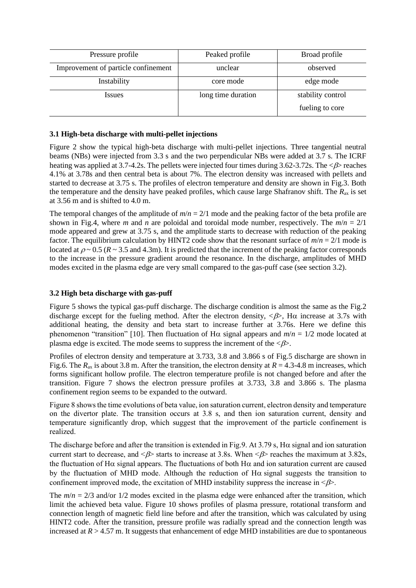| Pressure profile                    | Peaked profile     | Broad profile     |
|-------------------------------------|--------------------|-------------------|
| Improvement of particle confinement | unclear            | observed          |
| Instability                         | core mode          | edge mode         |
| <i>Issues</i>                       | long time duration | stability control |
|                                     |                    | fueling to core   |

#### **3.1 High-beta discharge with multi-pellet injections**

Figure 2 show the typical high-beta discharge with multi-pellet injections. Three tangential neutral beams (NBs) were injected from 3.3 s and the two perpendicular NBs were added at 3.7 s. The ICRF heating was applied at 3.7-4.2s. The pellets were injected four times during 3.62-3.72s. The  $\langle \beta \rangle$  reaches 4.1% at 3.78s and then central beta is about 7%. The electron density was increased with pellets and started to decrease at 3.75 s. The profiles of electron temperature and density are shown in Fig.3. Both the temperature and the density have peaked profiles, which cause large Shafranov shift. The  $R_{ax}$  is set at 3.56 m and is shifted to 4.0 m.

The temporal changes of the amplitude of  $m/n = 2/1$  mode and the peaking factor of the beta profile are shown in Fig.4, where *m* and *n* are poloidal and toroidal mode number, respectively. The  $m/n = 2/1$ mode appeared and grew at 3.75 s, and the amplitude starts to decrease with reduction of the peaking factor. The equilibrium calculation by HINT2 code show that the resonant surface of  $m/n = 2/1$  mode is located at  $\rho \sim 0.5$  ( $R \sim 3.5$  and 4.3m). It is predicted that the increment of the peaking factor corresponds to the increase in the pressure gradient around the resonance. In the discharge, amplitudes of MHD modes excited in the plasma edge are very small compared to the gas-puff case (see section 3.2).

#### **3.2 High beta discharge with gas-puff**

Figure 5 shows the typical gas-puff discharge. The discharge condition is almost the same as the Fig.2 discharge except for the fueling method. After the electron density,  $\langle \beta \rangle$ , H $\alpha$  increase at 3.7s with additional heating, the density and beta start to increase further at 3.76s. Here we define this phenomenon "transition" [10]. Then fluctuation of H $\alpha$  signal appears and  $m/n = 1/2$  mode located at plasma edge is excited. The mode seems to suppress the increment of the  $\langle \beta \rangle$ .

Profiles of electron density and temperature at 3.733, 3.8 and 3.866 s of Fig.5 discharge are shown in Fig.6. The  $R_{ax}$  is about 3.8 m. After the transition, the electron density at  $R = 4.3$ -4.8 m increases, which forms significant hollow profile. The electron temperature profile is not changed before and after the transition. Figure 7 shows the electron pressure profiles at 3.733, 3.8 and 3.866 s. The plasma confinement region seems to be expanded to the outward.

Figure 8 shows the time evolutions of beta value, ion saturation current, electron density and temperature on the divertor plate. The transition occurs at 3.8 s, and then ion saturation current, density and temperature significantly drop, which suggest that the improvement of the particle confinement is realized.

The discharge before and after the transition is extended in Fig.9. At 3.79 s, H $\alpha$  signal and ion saturation current start to decrease, and  $\leq \beta$  starts to increase at 3.8s. When  $\leq \beta$  reaches the maximum at 3.82s, the fluctuation of H $\alpha$  signal appears. The fluctuations of both H $\alpha$  and ion saturation current are caused by the fluctuation of MHD mode. Although the reduction of  $H\alpha$  signal suggests the transition to confinement improved mode, the excitation of MHD instability suppress the increase in  $\langle \beta \rangle$ .

The  $m/n = 2/3$  and/or  $1/2$  modes excited in the plasma edge were enhanced after the transition, which limit the achieved beta value. Figure 10 shows profiles of plasma pressure, rotational transform and connection length of magnetic field line before and after the transition, which was calculated by using HINT2 code. After the transition, pressure profile was radially spread and the connection length was increased at  $R > 4.57$  m. It suggests that enhancement of edge MHD instabilities are due to spontaneous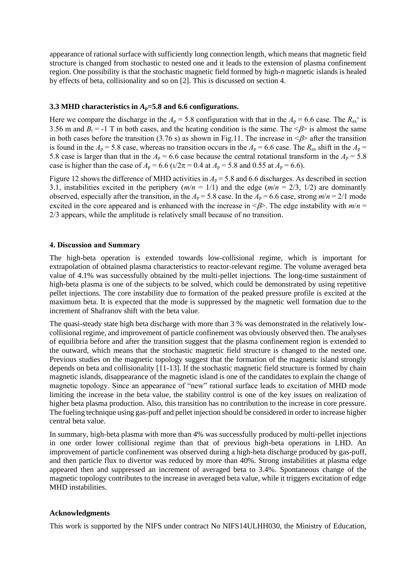appearance of rational surface with sufficiently long connection length, which means that magnetic field structure is changed from stochastic to nested one and it leads to the extension of plasma confinement region. One possibility is that the stochastic magnetic field formed by high-*n* magnetic islands is healed by effects of beta, collisionality and so on [2]. This is discussed on section 4.

#### **3.3 MHD characteristics in** *A***p=5.8 and 6.6 configurations.**

Here we compare the discharge in the  $A_p = 5.8$  configuration with that in the  $A_p = 6.6$  case. The  $R_{ax}$ <sup>v</sup> is 3.56 m and  $B_t = -1$  T in both cases, and the heating condition is the same. The  $\langle \beta \rangle$  is almost the same in both cases before the transition (3.76 s) as shown in Fig.11. The increase in  $\langle \beta \rangle$  after the transition is found in the  $A_p = 5.8$  case, whereas no transition occurs in the  $A_p = 6.6$  case. The  $R_{ax}$  shift in the  $A_p =$ 5.8 case is larger than that in the  $A_p = 6.6$  case because the central rotational transform in the  $A_p = 5.8$ case is higher than the case of  $A_p = 6.6$  ( $\frac{1}{2}\pi = 0.4$  at  $A_p = 5.8$  and 0.55 at  $A_p = 6.6$ ).

Figure 12 shows the difference of MHD activities in  $A_p = 5.8$  and 6.6 discharges. As described in section 3.1, instabilities excited in the periphery  $(m/n = 1/1)$  and the edge  $(m/n = 2/3, 1/2)$  are dominantly observed, especially after the transition, in the  $A_p = 5.8$  case. In the  $A_p = 6.6$  case, strong  $m/n = 2/1$  mode excited in the core appeared and is enhanced with the increase in  $\leq \beta$ . The edge instability with  $m/n =$ 2/3 appears, while the amplitude is relatively small because of no transition.

#### **4. Discussion and Summary**

The high-beta operation is extended towards low-collisional regime, which is important for extrapolation of obtained plasma characteristics to reactor-relevant regime. The volume averaged beta value of 4.1% was successfully obtained by the multi-pellet injections. The long-time sustainment of high-beta plasma is one of the subjects to be solved, which could be demonstrated by using repetitive pellet injections. The core instability due to formation of the peaked pressure profile is excited at the maximum beta. It is expected that the mode is suppressed by the magnetic well formation due to the increment of Shafranov shift with the beta value.

The quasi-steady state high beta discharge with more than 3 % was demonstrated in the relatively lowcollisional regime, and improvement of particle confinement was obviously observed then. The analyses of equilibria before and after the transition suggest that the plasma confinement region is extended to the outward, which means that the stochastic magnetic field structure is changed to the nested one. Previous studies on the magnetic topology suggest that the formation of the magnetic island strongly depends on beta and collisionality [11-13]. If the stochastic magnetic field structure is formed by chain magnetic islands, disappearance of the magnetic island is one of the candidates to explain the change of magnetic topology. Since an appearance of "new" rational surface leads to excitation of MHD mode limiting the increase in the beta value, the stability control is one of the key issues on realization of higher beta plasma production. Also, this transition has no contribution to the increase in core pressure. The fueling technique using gas-puff and pellet injection should be considered in order to increase higher central beta value.

In summary, high-beta plasma with more than 4% was successfully produced by multi-pellet injections in one order lower collisional regime than that of previous high-beta operations in LHD. An improvement of particle confinement was observed during a high-beta discharge produced by gas-puff, and then particle flux to divertor was reduced by more than 40%. Strong instabilities at plasma edge appeared then and suppressed an increment of averaged beta to 3.4%. Spontaneous change of the magnetic topology contributes to the increase in averaged beta value, while it triggers excitation of edge MHD instabilities.

#### **Acknowledgments**

This work is supported by the NIFS under contract No NIFS14ULHH030, the Ministry of Education,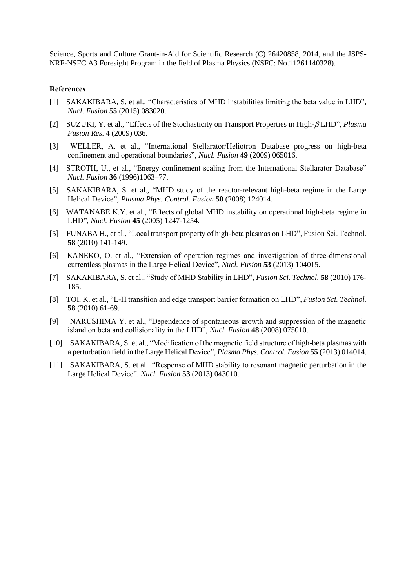Science, Sports and Culture Grant-in-Aid for Scientific Research (C) 26420858, 2014, and the JSPS-NRF-NSFC A3 Foresight Program in the field of Plasma Physics (NSFC: No.11261140328).

#### **References**

- [1] SAKAKIBARA, S. et al., "Characteristics of MHD instabilities limiting the beta value in LHD", *Nucl. Fusion* **55** (2015) 083020.
- [2] SUZUKI, Y. et al., "Effects of the Stochasticity on Transport Properties in High- LHD", *Plasma Fusion Res*. **4** (2009) 036.
- [3] WELLER, A. et al., "International Stellarator/Heliotron Database progress on high-beta confinement and operational boundaries", *Nucl. Fusion* **49** (2009) 065016.
- [4] STROTH, U., et al., "Energy confinement scaling from the International Stellarator Database" *Nucl. Fusion* **36** (1996)1063–77.
- [5] SAKAKIBARA, S. et al., "MHD study of the reactor-relevant high-beta regime in the Large Helical Device", *Plasma Phys. Control. Fusion* **50** (2008) 124014.
- [6] WATANABE K.Y. et al., "Effects of global MHD instability on operational high-beta regime in LHD", *Nucl. Fusion* **45** (2005) 1247-1254.
- [5] FUNABA H., et al., "Local transport property of high-beta plasmas on LHD", Fusion Sci. Technol. **58** (2010) 141-149.
- [6] KANEKO, O. et al., "Extension of operation regimes and investigation of three-dimensional currentless plasmas in the Large Helical Device", *Nucl. Fusion* **53** (2013) 104015.
- [7] SAKAKIBARA, S. et al., "Study of MHD Stability in LHD", *Fusion Sci. Technol.* **58** (2010) 176- 185.
- [8] TOI, K. et al., "L-H transition and edge transport barrier formation on LHD", *Fusion Sci. Technol.* **58** (2010) 61-69.
- [9] NARUSHIMA Y. et al., "Dependence of spontaneous growth and suppression of the magnetic island on beta and collisionality in the LHD", *Nucl. Fusion* **48** (2008) 075010.
- [10] SAKAKIBARA, S. et al., "Modification of the magnetic field structure of high-beta plasmas with a perturbation field in the Large Helical Device", *Plasma Phys. Control. Fusion* **55** (2013) 014014.
- [11] SAKAKIBARA, S. et al., "Response of MHD stability to resonant magnetic perturbation in the Large Helical Device", *Nucl. Fusion* **53** (2013) 043010.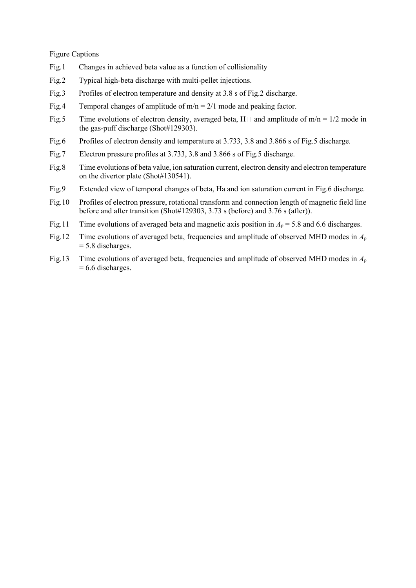Figure Captions

- Fig.1 Changes in achieved beta value as a function of collisionality
- Fig.2 Typical high-beta discharge with multi-pellet injections.
- Fig.3 Profiles of electron temperature and density at 3.8 s of Fig.2 discharge.
- Fig.4 Temporal changes of amplitude of  $m/n = 2/1$  mode and peaking factor.
- Fig.5 Time evolutions of electron density, averaged beta, H $\Box$  and amplitude of m/n = 1/2 mode in the gas-puff discharge (Shot#129303).
- Fig.6 Profiles of electron density and temperature at 3.733, 3.8 and 3.866 s of Fig.5 discharge.
- Fig.7 Electron pressure profiles at 3.733, 3.8 and 3.866 s of Fig.5 discharge.
- Fig.8 Time evolutions of beta value, ion saturation current, electron density and electron temperature on the divertor plate (Shot#130541).
- Fig.9 Extended view of temporal changes of beta, Ha and ion saturation current in Fig.6 discharge.
- Fig.10 Profiles of electron pressure, rotational transform and connection length of magnetic field line before and after transition (Shot#129303, 3.73 s (before) and 3.76 s (after)).
- Fig.11 Time evolutions of averaged beta and magnetic axis position in  $A_p = 5.8$  and 6.6 discharges.
- Fig.12 Time evolutions of averaged beta, frequencies and amplitude of observed MHD modes in *A*<sup>p</sup>  $= 5.8$  discharges.
- Fig.13 Time evolutions of averaged beta, frequencies and amplitude of observed MHD modes in *A*<sup>p</sup>  $= 6.6$  discharges.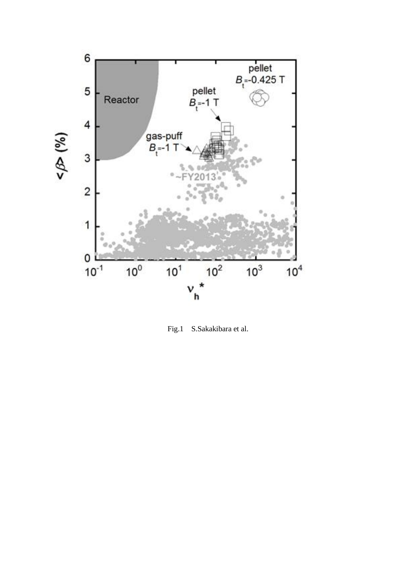

Fig.1 S.Sakakibara et al.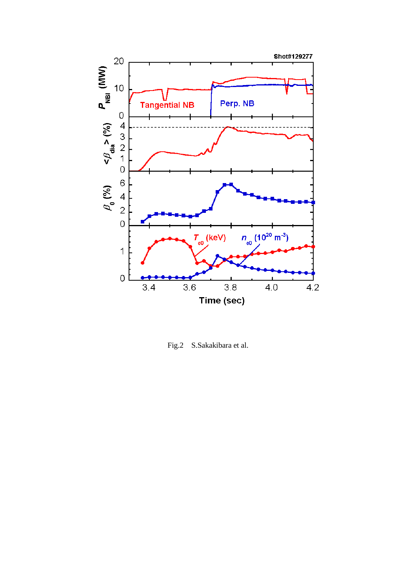

Fig.2 S.Sakakibara et al.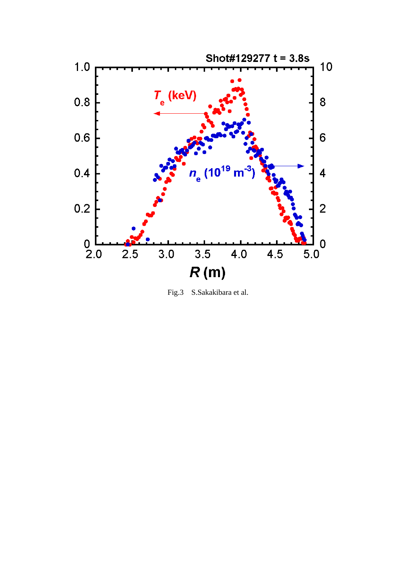

Fig.3 S.Sakakibara et al.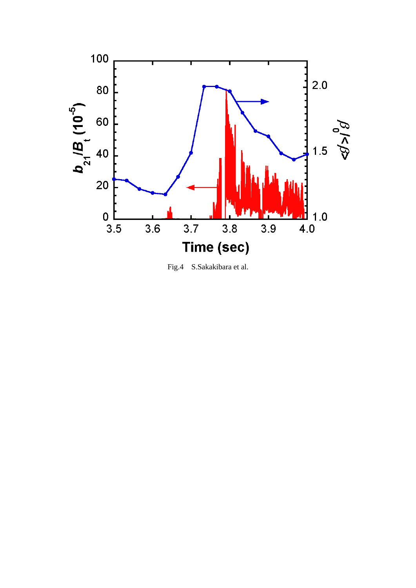

Fig.4 S.Sakakibara et al.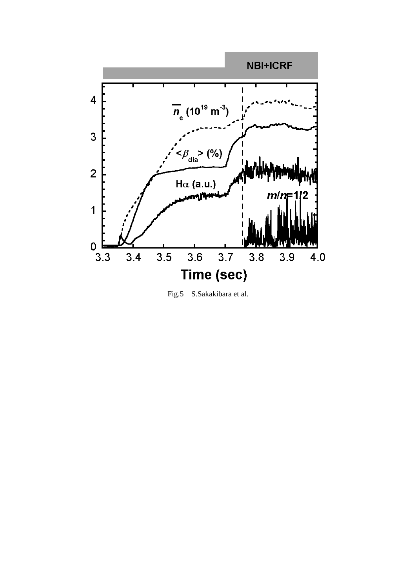

Fig.5 S.Sakakibara et al.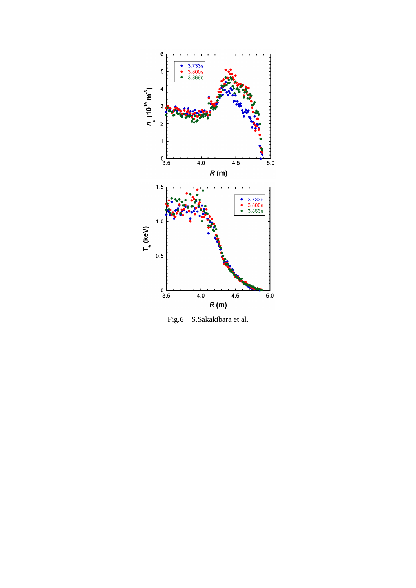

Fig.6 S.Sakakibara et al.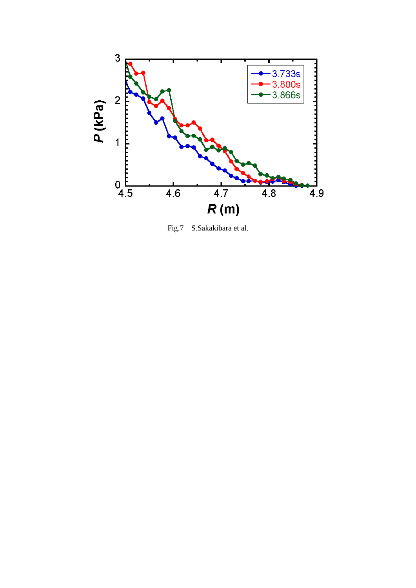

Fig.7 S.Sakakibara et al.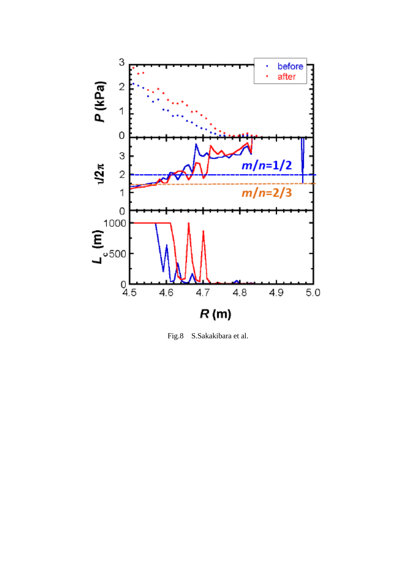

Fig.8 S.Sakakibara et al.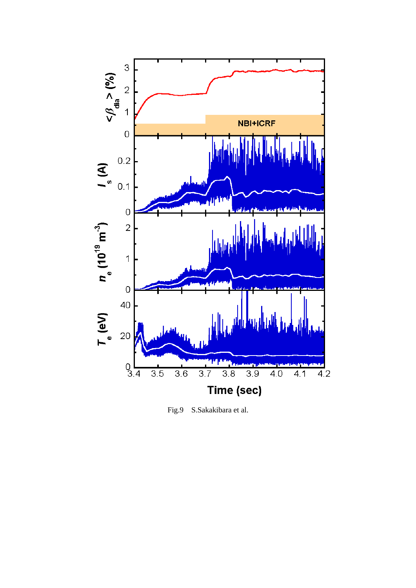

Fig.9 S.Sakakibara et al.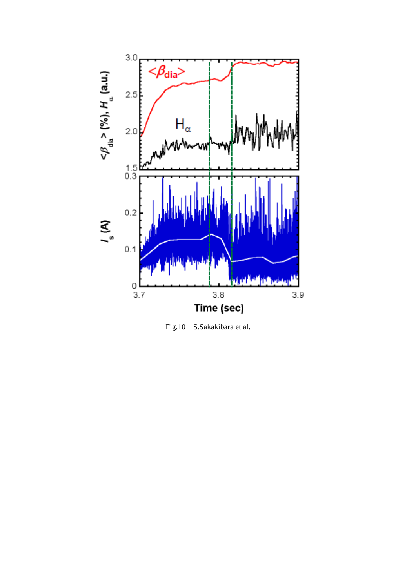

Fig.10 S.Sakakibara et al.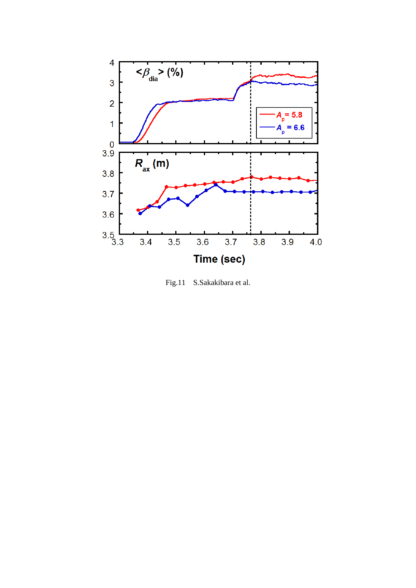

Fig.11 S.Sakakibara et al.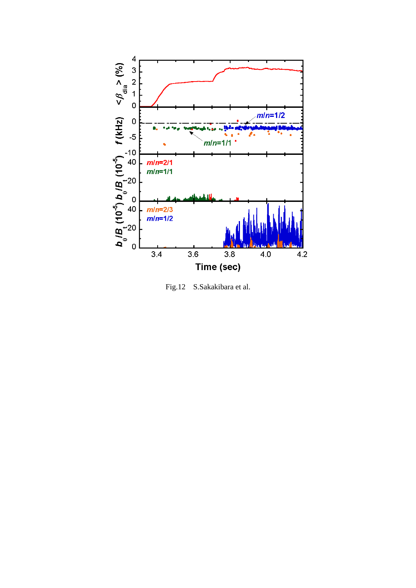

Fig.12 S.Sakakibara et al.